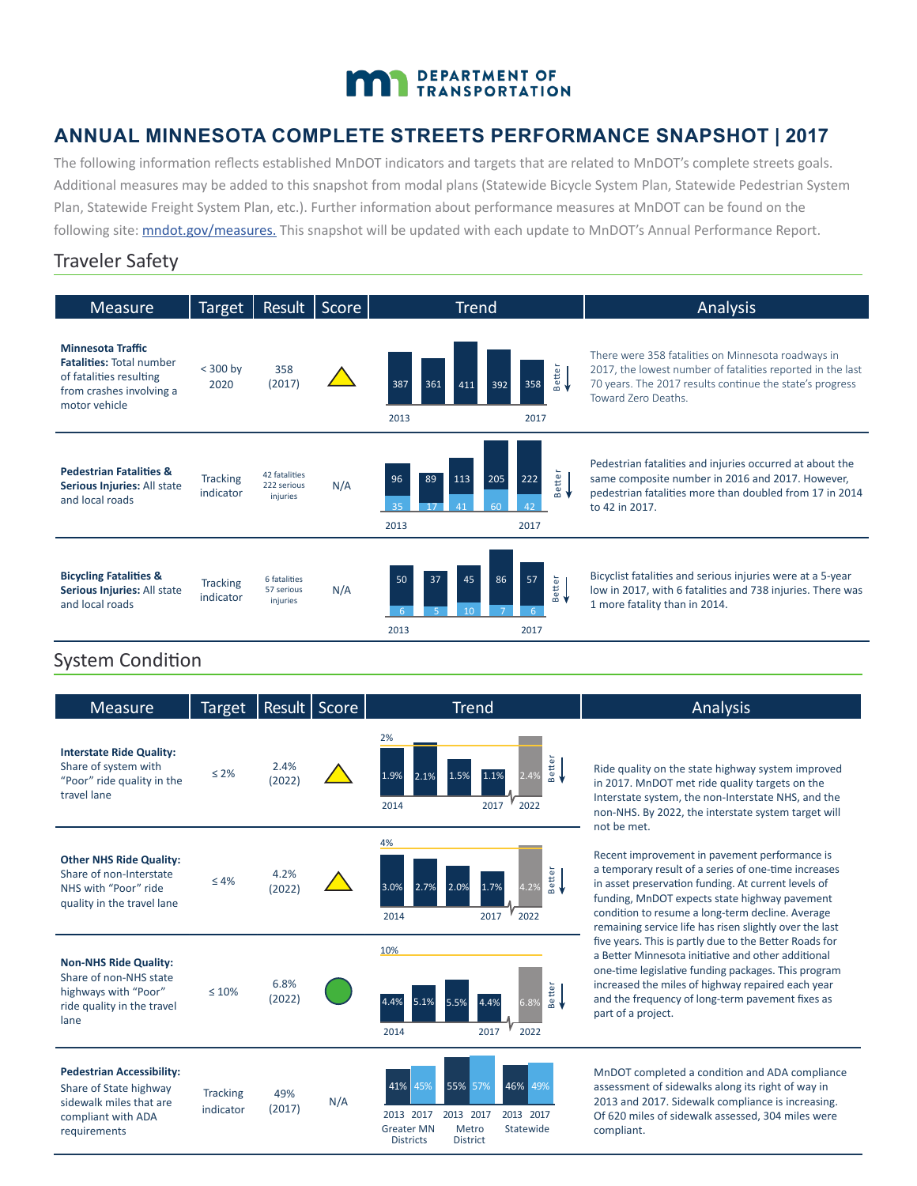# DEPARTMENT OF TRANSPORTATION

## **ANNUAL MINNESOTA COMPLETE STREETS PERFORMANCE SNAPSHOT | 2017**

The following information reflects established MnDOT indicators and targets that are related to MnDOT's complete streets goals. Additional measures may be added to this snapshot from modal plans (Statewide Bicycle System Plan, Statewide Pedestrian System Plan, Statewide Freight System Plan, etc.). Further information about performance measures at MnDOT can be found on the following site: **mndot.gov/measures**. This snapshot will be updated with each update to MnDOT's Annual Performance Report.

#### Traveler Safety

| <b>Measure</b>                                                                                                                      | <b>Target</b>                |                                          | Result   Score | <b>Trend</b>                                                                  | Analysis                                                                                                                                                                                            |
|-------------------------------------------------------------------------------------------------------------------------------------|------------------------------|------------------------------------------|----------------|-------------------------------------------------------------------------------|-----------------------------------------------------------------------------------------------------------------------------------------------------------------------------------------------------|
| <b>Minnesota Traffic</b><br><b>Fatalities: Total number</b><br>of fatalities resulting<br>from crashes involving a<br>motor vehicle | $<$ 300 by<br>2020           | 358<br>(2017)                            |                | Better<br><del>1</del><br>358<br>387<br>361<br>411<br>392<br>2013<br>2017     | There were 358 fatalities on Minnesota roadways in<br>2017, the lowest number of fatalities reported in the last<br>70 years. The 2017 results continue the state's progress<br>Toward Zero Deaths. |
| <b>Pedestrian Fatalities &amp;</b><br>Serious Injuries: All state<br>and local roads                                                | <b>Tracking</b><br>indicator | 42 fatalities<br>222 serious<br>injuries | N/A            | etter<br>96<br>205<br>222<br>113<br>89<br>൶<br>60<br>41<br>35<br>2013<br>2017 | Pedestrian fatalities and injuries occurred at about the<br>same composite number in 2016 and 2017. However,<br>pedestrian fatalities more than doubled from 17 in 2014<br>to 42 in 2017.           |
| <b>Bicycling Fatalities &amp;</b><br>Serious Injuries: All state<br>and local roads                                                 | <b>Tracking</b><br>indicator | 6 fatalities<br>57 serious<br>injuries   | N/A            | 50<br>45<br>86<br>57<br>Better<br><del>(</del><br>37<br>2013<br>2017          | Bicyclist fatalities and serious injuries were at a 5-year<br>low in 2017, with 6 fatalities and 738 injuries. There was<br>1 more fatality than in 2014.                                           |

## System Condition

| <b>Measure</b>                                                                                                              | <b>Target</b>                | Result         | Score | <b>Trend</b>                                                                                                       | Analysis                                                                                                                                                                                                                                                                                                                     |
|-----------------------------------------------------------------------------------------------------------------------------|------------------------------|----------------|-------|--------------------------------------------------------------------------------------------------------------------|------------------------------------------------------------------------------------------------------------------------------------------------------------------------------------------------------------------------------------------------------------------------------------------------------------------------------|
| <b>Interstate Ride Quality:</b><br>Share of system with<br>"Poor" ride quality in the<br>travel lane                        | $\leq 2\%$                   | 2.4%<br>(2022) |       | 2%<br>etter<br>1.9%<br>2.1%<br>.5%<br>2022<br>2017<br>2014                                                         | Ride quality on the state highway system improved<br>in 2017. MnDOT met ride quality targets on the<br>Interstate system, the non-Interstate NHS, and the<br>non-NHS. By 2022, the interstate system target will<br>not be met.                                                                                              |
| <b>Other NHS Ride Quality:</b><br>Share of non-Interstate<br>NHS with "Poor" ride<br>quality in the travel lane             | $\leq 4\%$                   | 4.2%<br>(2022) |       | 4%<br><b>Better</b><br>3.0%<br>2.7%<br>2.0%<br>1.7%<br>2022<br>2014<br>2017                                        | Recent improvement in pavement performance is<br>a temporary result of a series of one-time increases<br>in asset preservation funding. At current levels of<br>funding, MnDOT expects state highway pavement<br>condition to resume a long-term decline. Average<br>remaining service life has risen slightly over the last |
| <b>Non-NHS Ride Quality:</b><br>Share of non-NHS state<br>highways with "Poor"<br>ride quality in the travel<br>lane        | $\leq 10\%$                  | 6.8%<br>(2022) |       | 10%<br>Better<br><del>•</del><br>4.4%<br>5.1%<br>5.5%<br>4.4%<br>6.8%<br>2017<br>2022<br>2014                      | five years. This is partly due to the Better Roads for<br>a Better Minnesota initiative and other additional<br>one-time legislative funding packages. This program<br>increased the miles of highway repaired each year<br>and the frequency of long-term pavement fixes as<br>part of a project.                           |
| <b>Pedestrian Accessibility:</b><br>Share of State highway<br>sidewalk miles that are<br>compliant with ADA<br>requirements | <b>Tracking</b><br>indicator | 49%<br>(2017)  | N/A   | 46% 49%<br>41%<br>45%<br>55% 57%<br>2013 2017<br>2013 2017<br>2013 2017<br>Statewide<br><b>Greater MN</b><br>Metro | MnDOT completed a condition and ADA compliance<br>assessment of sidewalks along its right of way in<br>2013 and 2017. Sidewalk compliance is increasing.<br>Of 620 miles of sidewalk assessed, 304 miles were<br>compliant.                                                                                                  |

Districts

**District**